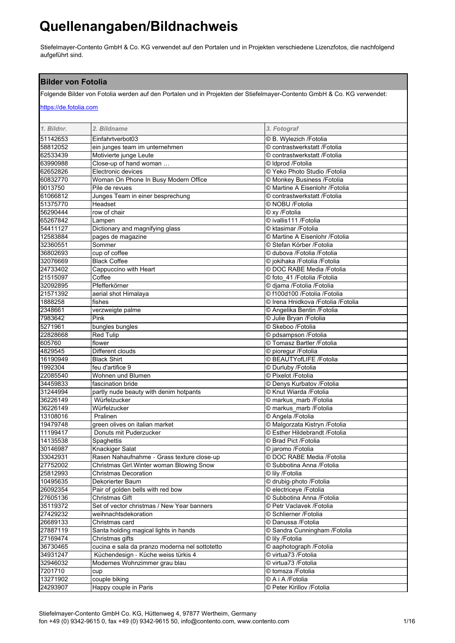Stiefelmayer-Contento GmbH & Co. KG verwendet auf den Portalen und in Projekten verschiedene Lizenzfotos, die nachfolgend aufgeführt sind.

#### **Bilder von Fotolia**

Folgende Bilder von Fotolia werden auf den Portalen und in Projekten der Stiefelmayer-Contento GmbH & Co. KG verwendet:

### https://de.fotolia.com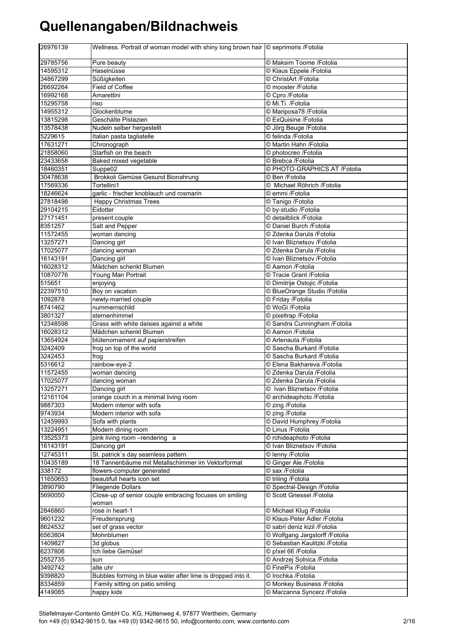| 26976139             | Wellness. Portrait of woman model with shiny long brown hair © seprimoris /Fotolia |                                                |
|----------------------|------------------------------------------------------------------------------------|------------------------------------------------|
| 29785756             | Pure beauty                                                                        | © Maksim Toome / Fotolia                       |
| 14595312             | Haselnüsse                                                                         | © Klaus Eppele /Fotolia                        |
| 34867299             | Süßigkeiten                                                                        | © ChristArt /Fotolia                           |
| 26692264             | Field of Coffee                                                                    | © mooster /Fotolia                             |
| 16992168             | Amarettini                                                                         | © Cpro /Fotolia                                |
| 15295758             | riso                                                                               | © Mi.Ti. /Fotolia                              |
| 14955312             | Glockenblume                                                                       | © Mariposa78 / Fotolia                         |
| 13815298             | Geschälte Pistazien                                                                | © ExQuisine /Fotolia                           |
| 13578438             | Nudeln selber hergestellt                                                          | © Jörg Beuge / Fotolia                         |
| 5229615              | Italian pasta tagliatelle                                                          | © felinda / Fotolia                            |
| 17631271             | Chronograph<br>Starfish on the beach                                               | © Martin Hahn /Fotolia                         |
| 21858060<br>23433658 | Baked mixed vegetable                                                              | © photocreo /Fotolia<br>© Brebca / Fotolia     |
| 18460351             | Suppe02                                                                            | © PHOTO-GRAPHICS.AT /Fotolia                   |
| 30478638             | Brokkoli Gemüse Gesund Bionahrung                                                  | © Ben /Fotolia                                 |
| 17569336             | Tortellini1                                                                        | © Michael Röhrich / Fotolia                    |
| 18246624             | garlic - frischer knoblauch und rosmarin                                           | © emmi /Fotolia                                |
| 27818498             | Happy Christmas Trees                                                              | © Tanigo /Fotolia                              |
| 29104215             | Eidotter                                                                           | C by-studio /Fotolia                           |
| 27171451             | present couple                                                                     | © detailblick /Fotolia                         |
| 8351257              | Salt and Pepper                                                                    | © Daniel Burch / Fotolia                       |
| 11572455             | woman dancing                                                                      | © Zdenka Darula /Fotolia                       |
| 13257271             | Dancing girl                                                                       | © Ivan Bliznetsov /Fotolia                     |
| 17025077             | dancing woman                                                                      | © Zdenka Darula /Fotolia                       |
| 16143191             | Dancing girl                                                                       | © Ivan Bliznetsov / Fotolia                    |
| 16028312             | Mädchen schenkt Blumen                                                             | © Aamon /Fotolia                               |
| 10870776             | Young Man Portrait                                                                 | © Tracie Grant / Fotolia                       |
| 515651               | enjoying                                                                           | © Dimitrije Ostojic /Fotolia                   |
| 22397510             | Boy on vacation                                                                    | © BlueOrange Studio /Fotolia                   |
| 1092878              | newly-married couple                                                               | © Friday / Fotolia                             |
| 8741462<br>3801327   | nummernschild<br>sternenhimmel                                                     | © WoGi /Fotolia<br>© pixeltrap / Fotolia       |
| 12348598             | Grass with white daisies against a white                                           | © Sandra Cunningham / Fotolia                  |
| 16028312             | Mädchen schenkt Blumen                                                             | © Aamon /Fotolia                               |
| 13654924             | blütenornament auf papierstreifen                                                  | © Artenauta / Fotolia                          |
| 3242409              | frog on top of the world                                                           | © Sascha Burkard / Fotolia                     |
| 3242453              | frog                                                                               | © Sascha Burkard / Fotolia                     |
| 5316612              | rainbow-eye-2                                                                      | © Elena Bakhareva /Fotolia                     |
| 11572455             | woman dancing                                                                      | © Zdenka Darula /Fotolia                       |
| 17025077             | dancing woman                                                                      | © Zdenka Darula /Fotolia                       |
| 13257271             | Dancing girl                                                                       | © Ivan Bliznetsov / Fotolia                    |
| 12161104             | orange couch in a minimal living room                                              | © archideaphoto /Fotolia                       |
| 9887303              | Modern interior with sofa                                                          | © zing /Fotolia                                |
| 9743934              | Modern interior with sofa                                                          | © zing /Fotolia                                |
| 12459993             | Sofa with plants                                                                   | © David Humphrey / Fotolia                     |
| 13224951             | Modern dining room                                                                 | © Linus /Fotolia                               |
| 13525373             | pink living room -rendering a                                                      | © rchideaphoto /Fotolia                        |
| 16143191<br>12745311 | Dancing girl<br>St. patrick's day seamless pattern                                 | © Ivan Bliznetsov /Fotolia<br>© lenny /Fotolia |
| 10435189             | 18 Tannenbäume mit Metallschimmer im Vektorformat                                  | © Ginger Ale /Fotolia                          |
| 338172               | flowers-computer generated                                                         | © sax /Fotolia                                 |
| 11650653             | beautifull hearts icon set                                                         | © triling /Fotolia                             |
| 3890790              | Fliegende Dollars                                                                  | © Spectral-Design /Fotolia                     |
| 5690050              | Close-up of senior couple embracing focuses on smiling                             | © Scott Griessel /Fotolia                      |
| 2846860              | woman<br>rose in heart-1                                                           | © Michael Klug / Fotolia                       |
| 9601232              | Freudensprung                                                                      | © Klaus-Peter Adler /Fotolia                   |
| 8624532              | set of grass vector                                                                | © sabri deniz kizil /Fotolia                   |
| 6563804              | Mohnblumen                                                                         | © Wolfgang Jargstorff /Fotolia                 |
| 1409827              | 3d globus                                                                          | © Sebastian Kaulitzki /Fotolia                 |
| 6237806              | Ich liebe Gemüse!                                                                  | © p!xel 66 / Fotolia                           |
| 2552735              | sun                                                                                | © Andrzej Solnica / Fotolia                    |
| 3492742              | alte uhr                                                                           | © FinePix /Fotolia                             |
| 9398820              | Bubbles forming in blue water after lime is dropped into it.                       | © Irochka /Fotolia                             |
| 8334859              | Family sitting on patio smiling                                                    | © Monkey Business / Fotolia                    |
| 4149085              | happy kids                                                                         | © Marzanna Syncerz / Fotolia                   |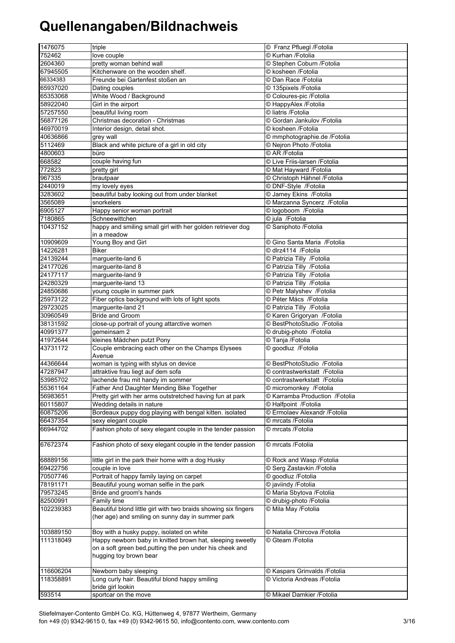| 1476075   | triple                                                          | © Franz Pfluegl /Fotolia        |
|-----------|-----------------------------------------------------------------|---------------------------------|
| 752462    | love couple                                                     | © Kurhan /Fotolia               |
| 2604360   | pretty woman behind wall                                        | © Stephen Coburn / Fotolia      |
| 67945505  | Kitchenware on the wooden shelf.                                | © kosheen /Fotolia              |
| 66334383  | Freunde bei Gartenfest stoßen an                                | © Dan Race /Fotolia             |
| 65937020  | Dating couples                                                  | © 135pixels /Fotolia            |
|           |                                                                 | © Coloures-pic /Fotolia         |
| 65353068  | White Wood / Background                                         |                                 |
| 58922040  | Girl in the airport                                             | © HappyAlex /Fotolia            |
| 57257550  | beautiful living room                                           | © liatris /Fotolia              |
| 56877126  | Christmas decoration - Christmas                                | © Gordan Jankulov / Fotolia     |
| 46970019  | Interior design, detail shot.                                   | © kosheen /Fotolia              |
| 40636866  | grey wall                                                       | © mmphotographie.de /Fotolia    |
| 5112469   | Black and white picture of a girl in old city                   | © Nejron Photo /Fotolia         |
| 4800603   | büro                                                            | © AR /Fotolia                   |
| 668582    | couple having fun                                               | © Live Friis-larsen /Fotolia    |
| 772823    |                                                                 | © Mat Hayward / Fotolia         |
|           | pretty girl                                                     |                                 |
| 967335    | brautpaar                                                       | © Christoph Hähnel / Fotolia    |
| 2440019   | my lovely eyes                                                  | © DNF-Style /Fotolia            |
| 3283602   | beautiful baby looking out from under blanket                   | © Jamey Ekins / Fotolia         |
| 3565089   | snorkelers                                                      | © Marzanna Syncerz / Fotolia    |
| 6905127   | Happy senior woman portrait                                     | © logoboom / Fotolia            |
| 7180865   | Schneewittchen                                                  | © jula /Fotolia                 |
| 10437152  | happy and smiling small girl with her golden retriever dog      | © Saniphoto /Fotolia            |
|           | in a meadow                                                     |                                 |
| 10909609  | Young Boy and Girl                                              | © Gino Santa Maria / Fotolia    |
| 14226281  | <b>Biker</b>                                                    | © dlrz4114 /Fotolia             |
|           |                                                                 |                                 |
| 24139244  | marguerite-land 6                                               | © Patrizia Tilly / Fotolia      |
| 24177026  | marguerite-land 8                                               | © Patrizia Tilly / Fotolia      |
| 24177117  | marguerite-land 9                                               | © Patrizia Tilly / Fotolia      |
| 24280329  | marguerite-land 13                                              | © Patrizia Tilly / Fotolia      |
| 24850686  | young couple in summer park                                     | © Petr Malyshev / Fotolia       |
| 25973122  | Fiber optics background with lots of light spots                | © Péter Mács / Fotolia          |
| 29723025  | marguerite-land 21                                              | © Patrizia Tilly / Fotolia      |
| 30960549  | <b>Bride and Groom</b>                                          | © Karen Grigoryan / Fotolia     |
| 38131592  | close-up portrait of young attarctive women                     | © BestPhotoStudio /Fotolia      |
|           |                                                                 |                                 |
| 40991377  | gemeinsam 2                                                     | © drubig-photo /Fotolia         |
| 41972644  | kleines Mädchen putzt Pony                                      | © Tanja / Fotolia               |
| 43731172  | Couple embracing each other on the Champs Elysees               | © goodluz /Fotolia              |
|           | Avenue                                                          |                                 |
| 44366644  | woman is typing with stylus on device                           | © BestPhotoStudio /Fotolia      |
| 47287947  | attraktive frau liegt auf dem sofa                              | © contrastwerkstatt / Fotolia   |
| 53985702  | lachende frau mit handy im sommer                               | © contrastwerkstatt /Fotolia    |
| 55361164  | Father And Daughter Mending Bike Together                       | © micromonkey /Fotolia          |
| 56983651  | Pretty girl with her arms outstretched having fun at park       | © Karramba Production / Fotolia |
| 60115807  | Wedding details in nature                                       | © Halfpoint / Fotolia           |
| 60875206  | Bordeaux puppy dog playing with bengal kitten. isolated         | © Ermolaev Alexandr / Fotolia   |
|           |                                                                 |                                 |
| 66437354  | sexy elegant couple                                             | © mrcats /Fotolia               |
| 66944702  | Fashion photo of sexy elegant couple in the tender passion      | © mrcats /Fotolia               |
|           |                                                                 |                                 |
| 67672374  | Fashion photo of sexy elegant couple in the tender passion      | © mrcats /Fotolia               |
|           |                                                                 |                                 |
| 68889156  | little girl in the park their home with a dog Husky             | © Rock and Wasp / Fotolia       |
| 69422756  | couple in love                                                  | © Serg Zastavkin / Fotolia      |
| 70507746  | Portrait of happy family laying on carpet                       | © goodluz / Fotolia             |
| 78191171  | Beautiful young woman selfie in the park                        | © javiindy /Fotolia             |
| 79573245  | Bride and groom's hands                                         | © Maria Sbytova / Fotolia       |
| 82500991  | Family time                                                     | © drubig-photo /Fotolia         |
|           | Beautiful blond little girl with two braids showing six fingers |                                 |
| 102239383 |                                                                 | © Mila May / Fotolia            |
|           | (her age) and smiling on sunny day in summer park               |                                 |
|           |                                                                 |                                 |
| 103889150 | Boy with a husky puppy, isolated on white                       | © Natalia Chircova / Fotolia    |
| 111318049 | Happy newborn baby in knitted brown hat, sleeping sweetly       | © Gteam /Fotolia                |
|           | on a soft green bed, putting the pen under his cheek and        |                                 |
|           | hugging toy brown bear                                          |                                 |
|           |                                                                 |                                 |
| 116606204 | Newborn baby sleeping                                           | © Kaspars Grinvalds / Fotolia   |
| 118358891 | Long curly hair. Beautiful blond happy smiling                  | © Victoria Andreas / Fotolia    |
|           | bride girl lookin                                               |                                 |
| 593514    | sportcar on the move                                            | © Mikael Damkier / Fotolia      |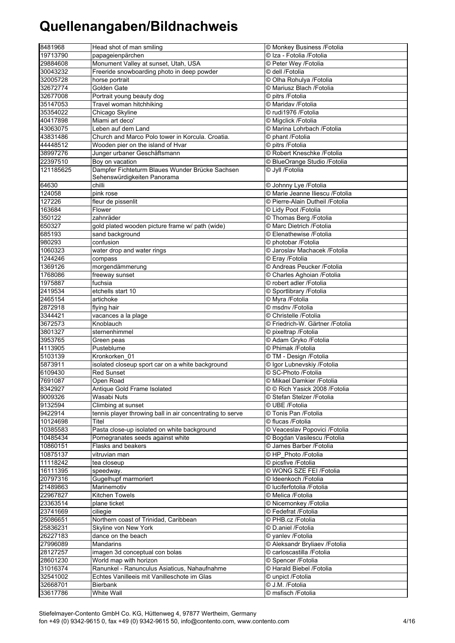| 8481968            | Head shot of man smiling                                  | © Monkey Business /Fotolia                      |
|--------------------|-----------------------------------------------------------|-------------------------------------------------|
| 19713790           | papageienpärchen                                          | © Iza - Fotolia /Fotolia                        |
| 29884608           | Monument Valley at sunset, Utah, USA                      | © Peter Wey /Fotolia                            |
| 30043232           | Freeride snowboarding photo in deep powder                | © dell /Fotolia                                 |
| 32005728           | horse portrait                                            | © Olha Rohulya /Fotolia                         |
| 32672774           | Golden Gate                                               | © Mariusz Blach / Fotolia                       |
| 32677008           | Portrait young beauty dog                                 | © pitrs /Fotolia                                |
| 35147053           | Travel woman hitchhiking                                  | © Maridav /Fotolia                              |
| 35354022           | Chicago Skyline                                           | © rudi1976 /Fotolia                             |
| 40417898           | Miami art deco'                                           | © Migclick /Fotolia                             |
| 43063075           | Leben auf dem Land                                        | © Marina Lohrbach / Fotolia                     |
| 43831486           | Church and Marco Polo tower in Korcula. Croatia.          | © phant /Fotolia                                |
| 44448512           | Wooden pier on the island of Hvar                         | © pitrs /Fotolia                                |
| 38997276           | Junger urbaner Geschäftsmann                              | © Robert Kneschke /Fotolia                      |
| 22397510           | Boy on vacation                                           | © BlueOrange Studio / Fotolia                   |
| 121185625          | Dampfer Fichteturm Blaues Wunder Brücke Sachsen           | © Jyll /Fotolia                                 |
|                    | Sehenswürdigkeiten Panorama                               |                                                 |
| 64630              | chilli                                                    | © Johnny Lye /Fotolia                           |
| 124058             | pink rose                                                 | © Marie Jeanne Iliescu / Fotolia                |
| 127226             | fleur de pissenlit                                        | © Pierre-Alain Dutheil /Fotolia                 |
| 163684             | Flower                                                    | © Lidy Poot /Fotolia                            |
| 350122             | zahnräder                                                 | © Thomas Berg / Fotolia                         |
| 650327             | gold plated wooden picture frame w/ path (wide)           | © Marc Dietrich /Fotolia                        |
| 685193             | sand background                                           | © Elenathewise /Fotolia                         |
| 980293             | confusion                                                 | © photobar / Fotolia                            |
| 1060323            | water drop and water rings                                | © Jaroslav Machacek / Fotolia                   |
| 1244246            | compass                                                   | © Eray / Fotolia                                |
| 1369126            | morgendämmerung                                           | © Andreas Peucker / Fotolia                     |
| 1768086            | freeway sunset                                            | © Charles Aghoian / Fotolia                     |
| 1975887            | fuchsia                                                   | © robert adler /Fotolia                         |
| 2419534            | etchells start 10                                         | © Sportlibrary /Fotolia                         |
| 2465154            | artichoke                                                 | © Myra /Fotolia                                 |
| 2872918            | flying hair                                               | © msdnv /Fotolia                                |
| 3344421            | vacances a la plage                                       | © Christelle /Fotolia                           |
| 3672573<br>3801327 | Knoblauch                                                 | © Friedrich-W. Gärtner /Fotolia                 |
| 3953765            | sternenhimmel                                             | © pixeltrap / Fotolia<br>C Adam Gryko / Fotolia |
| 4113905            | Green peas<br>Pusteblume                                  | © Phimak / Fotolia                              |
| 5103139            | Kronkorken 01                                             | © TM - Design /Fotolia                          |
| 5873911            | isolated closeup sport car on a white background          | © Igor Lubnevskiy /Fotolia                      |
| 6109430            | <b>Red Sunset</b>                                         | © SC-Photo /Fotolia                             |
| 7691087            | Open Road                                                 | © Mikael Damkier / Fotolia                      |
| 8342927            | Antique Gold Frame Isolated                               | © © Rich Yasick 2008 / Fotolia                  |
| 9009326            | Wasabi Nuts                                               | © Stefan Stelzer /Fotolia                       |
| 9132594            | Climbing at sunset                                        | © UBE /Fotolia                                  |
| 9422914            | tennis player throwing ball in air concentrating to serve | © Tonis Pan /Fotolia                            |
| 10124698           | Titel                                                     | © flucas /Fotolia                               |
| 10385583           | Pasta close-up isolated on white background               | © Veaceslav Popovici /Fotolia                   |
| 10485434           | Pomegranates seeds against white                          | © Bogdan Vasilescu / Fotolia                    |
| 10860151           | Flasks and beakers                                        | © James Barber / Fotolia                        |
| 10875137           | vitruvian man                                             | CHP Photo /Fotolia                              |
| 11118242           | tea closeup                                               | © picsfive /Fotolia                             |
| 16111395           | speedway.                                                 | © WONG SZE FEI /Fotolia                         |
| 20797316           | Gugelhupf marmoriert                                      | © Ideenkoch / Fotolia                           |
| 21489863           | Marinemotiv                                               | © luciferfotolia /Fotolia                       |
| 22967827           | Kitchen Towels                                            | © Melica /Fotolia                               |
| 23363514           | plane ticket                                              | © Nicemonkey /Fotolia                           |
| 23741669           | ciliegie                                                  | © Fedefrat /Fotolia                             |
| 25086651           | Northern coast of Trinidad, Caribbean                     | © PHB.cz /Fotolia                               |
| 25836231           | Skyline von New York                                      | © D.aniel /Fotolia                              |
| 26227183           | dance on the beach                                        | © yanlev /Fotolia                               |
| 27996089           | <b>Mandarins</b>                                          | © Aleksandr Bryliaev /Fotolia                   |
| 28127257           | imagen 3d conceptual con bolas                            | © carloscastilla /Fotolia                       |
| 28601230           | World map with horizon                                    | © Spencer / Fotolia                             |
| 31016374           | Ranunkel - Ranunculus Asiaticus, Nahaufnahme              | © Harald Biebel / Fotolia                       |
| 32541002           | Echtes Vanilleeis mit Vanilleschote im Glas               | © unpict /Fotolia                               |
| 32668701           | Bierbank                                                  | © J.M. /Fotolia                                 |
| 33617786           | White Wall                                                | © msfisch /Fotolia                              |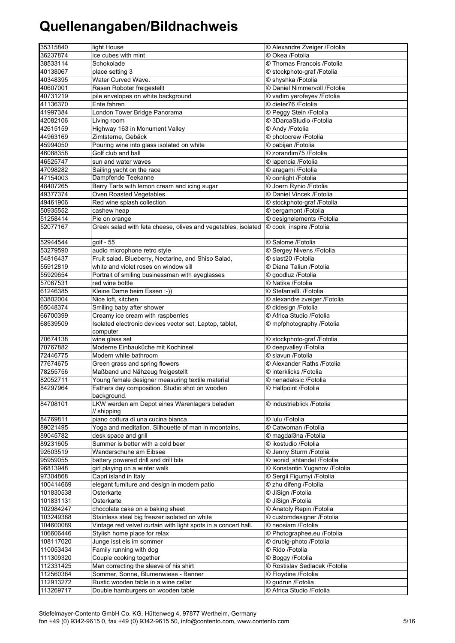| 35315840  | light House                                                    | © Alexandre Zveiger / Fotolia  |
|-----------|----------------------------------------------------------------|--------------------------------|
|           | ice cubes with mint                                            | © Okea /Fotolia                |
| 36237874  |                                                                |                                |
| 38533114  | Schokolade                                                     | © Thomas Francois / Fotolia    |
| 40138067  | place setting 3                                                | © stockphoto-graf /Fotolia     |
| 40348395  | Water Curved Wave.                                             | © shyshka /Fotolia             |
| 40607001  | Rasen Roboter freigestellt                                     | © Daniel Nimmervoll /Fotolia   |
| 40731219  | pile envelopes on white background                             | © vadim yerofeyev /Fotolia     |
| 41136370  | Ente fahren                                                    | © dieter76 /Fotolia            |
| 41997384  | London Tower Bridge Panorama                                   | © Peggy Stein /Fotolia         |
| 42082106  | Living room                                                    | © 3DarcaStudio /Fotolia        |
| 42615159  | Highway 163 in Monument Valley                                 | © Andy /Fotolia                |
| 44963169  | Zimtsterne, Gebäck                                             | © photocrew /Fotolia           |
| 45994050  | Pouring wine into glass isolated on white                      | © pabijan /Fotolia             |
| 46088358  | Golf club and ball                                             | © zorandim75 /Fotolia          |
|           |                                                                |                                |
| 46525747  | sun and water waves                                            | © lapencia /Fotolia            |
| 47098282  | Sailing yacht on the race                                      | © aragami /Fotolia             |
| 47154003  | Dampfende Teekanne                                             | © oonlight /Fotolia            |
| 48407265  | Berry Tarts with lemon cream and icing sugar                   | © Joern Rynio /Fotolia         |
| 49377374  | Oven Roasted Vegetables                                        | © Daniel Vincek /Fotolia       |
| 49461906  | Red wine splash collection                                     | © stockphoto-graf / Fotolia    |
| 50935552  | cashew heap                                                    | © bergamont / Fotolia          |
| 51258414  | Pie on orange                                                  | © designelements / Fotolia     |
| 52077167  | Greek salad with feta cheese, olives and vegetables, isolated  | © cook_inspire /Fotolia        |
|           |                                                                |                                |
| 52944544  | golf - 55                                                      | © Salome / Fotolia             |
| 53279590  | audio microphone retro style                                   | © Sergey Nivens / Fotolia      |
| 54816437  | Fruit salad. Blueberry, Nectarine, and Shiso Salad,            | © slast20 /Fotolia             |
| 55912819  | white and violet roses on window sill                          | © Diana Taliun /Fotolia        |
| 55929654  | Portrait of smiling businessman with eyeglasses                | © goodluz / Fotolia            |
| 57067531  | red wine bottle                                                | © Natika /Fotolia              |
|           |                                                                |                                |
| 61246385  | Kleine Dame beim Essen :-))                                    | © StefanieB. /Fotolia          |
| 63802004  | Nice loft, kitchen                                             | © alexandre zveiger / Fotolia  |
| 65048374  | Smiling baby after shower                                      | © didesign /Fotolia            |
| 66700399  | Creamy ice cream with raspberries                              | © Africa Studio /Fotolia       |
| 68539509  | Isolated electronic devices vector set. Laptop, tablet,        | © mpfphotography /Fotolia      |
|           | computer                                                       |                                |
| 70674138  | wine glass set                                                 | © stockphoto-graf /Fotolia     |
| 70767882  | Moderne Einbauküche mit Kochinsel                              | © deepvalley /Fotolia          |
| 72446775  | Modern white bathroom                                          | © slavun /Fotolia              |
| 77674675  | Green grass and spring flowers                                 | © Alexander Raths / Fotolia    |
| 78255756  | Maßband und Nähzeug freigestellt                               | © interklicks /Fotolia         |
| 82052711  | Young female designer measuring textile material               | © nenadaksic /Fotolia          |
| 84297964  | Fathers day composition. Studio shot on wooden                 | © Halfpoint /Fotolia           |
|           | background.                                                    |                                |
| 84708101  | LKW werden am Depot eines Warenlagers beladen                  | © industrieblick /Fotolia      |
|           | // shipping                                                    |                                |
| 84769811  | piano cottura di una cucina bianca                             | © Iulu /Fotolia                |
| 89021495  | Yoga and meditation. Silhouette of man in moontains.           | © Catwoman /Fotolia            |
| 89045782  | desk space and grill                                           | © magdal3na /Fotolia           |
| 89231605  | Summer is better with a cold beer                              | © ikostudio /Fotolia           |
| 92603519  | Wanderschuhe am Eibsee                                         | © Jenny Sturm / Fotolia        |
|           |                                                                |                                |
| 95959055  | battery powered drill and drill bits                           | © leonid_shtandel /Fotolia     |
| 96813948  | girl playing on a winter walk                                  | © Konstantin Yuganov /Fotolia  |
| 97304868  | Capri island in Italy                                          | © Sergii Figurnyi /Fotolia     |
| 100414669 | elegant furniture and design in modern patio                   | © zhu difeng /Fotolia          |
| 101830538 | Osterkarte                                                     | © JiSign /Fotolia              |
| 101831131 | Osterkarte                                                     | © JiSign /Fotolia              |
| 102984247 | chocolate cake on a baking sheet                               | © Anatoly Repin / Fotolia      |
| 103249388 | Stainless steel big freezer isolated on white                  | © customdesigner /Fotolia      |
| 104600089 | Vintage red velvet curtain with light spots in a concert hall. | © neosiam /Fotolia             |
| 106606446 | Stylish home place for relax                                   | © Photographee.eu /Fotolia     |
| 108117020 | Junge isst eis im sommer                                       | © drubig-photo /Fotolia        |
| 110053434 | Family running with dog                                        | © Rido /Fotolia                |
| 111309320 | Couple cooking together                                        | © Boggy /Fotolia               |
| 112331425 | Man correcting the sleeve of his shirt                         | © Rostislav Sedlacek / Fotolia |
| 112560384 | Sommer, Sonne, Blumenwiese - Banner                            | © Floydine /Fotolia            |
|           |                                                                |                                |
| 112913272 | Rustic wooden table in a wine cellar                           | © gudrun /Fotolia              |
| 113269717 | Double hamburgers on wooden table                              | © Africa Studio /Fotolia       |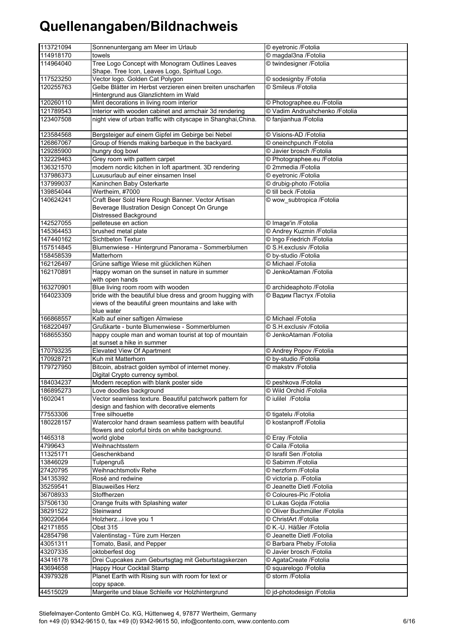| 113721094 | Sonnenuntergang am Meer im Urlaub                                                                       | © eyetronic /Fotolia           |
|-----------|---------------------------------------------------------------------------------------------------------|--------------------------------|
| 114918170 | towels                                                                                                  | © magdal3na / Fotolia          |
| 114964040 | Tree Logo Concept with Monogram Outlines Leaves                                                         | © twindesigner /Fotolia        |
|           | Shape. Tree Icon, Leaves Logo, Spiritual Logo.                                                          |                                |
| 117523250 | Vector logo. Golden Cat Polygon                                                                         | © sodesignby /Fotolia          |
| 120255763 | Gelbe Blätter im Herbst verzieren einen breiten unscharfen                                              | © Smileus /Fotolia             |
|           | Hintergrund aus Glanzlichtern im Wald                                                                   |                                |
| 120260110 | Mint decorations in living room interior                                                                | © Photographee.eu /Fotolia     |
| 121789543 | Interior with wooden cabinet and armchair 3d rendering                                                  | © Vadim Andrushchenko /Fotolia |
| 123407508 | night view of urban traffic with cityscape in Shanghai, China.                                          | © fanjianhua /Fotolia          |
| 123584568 | Bergsteiger auf einem Gipfel im Gebirge bei Nebel                                                       | © Visions-AD /Fotolia          |
| 126867067 | Group of friends making barbeque in the backyard.                                                       | © oneinchpunch /Fotolia        |
| 129285900 | hungry dog bowl                                                                                         | © Javier brosch /Fotolia       |
| 132229463 | Grey room with pattern carpet                                                                           | © Photographee.eu /Fotolia     |
| 136321570 | modern nordic kitchen in loft apartment. 3D rendering                                                   | © 2mmedia / Fotolia            |
| 137986373 | Luxusurlaub auf einer einsamen Insel                                                                    | © eyetronic /Fotolia           |
| 137999037 | Kaninchen Baby Osterkarte                                                                               | © drubig-photo /Fotolia        |
| 139854044 | Wertheim, #7000                                                                                         | © till beck /Fotolia           |
| 140624241 | Craft Beer Sold Here Rough Banner. Vector Artisan                                                       | © wow_subtropica /Fotolia      |
|           | Beverage Illustration Design Concept On Grunge                                                          |                                |
|           | Distressed Background                                                                                   |                                |
| 142527055 | pelleteuse en action                                                                                    | © Image'in /Fotolia            |
| 145364453 | brushed metal plate                                                                                     | © Andrey Kuzmin / Fotolia      |
| 147440162 | <b>Sichtbeton Textur</b>                                                                                | © Ingo Friedrich / Fotolia     |
| 157514845 | Blumenwiese - Hintergrund Panorama - Sommerblumen                                                       | © S.H.exclusiv /Fotolia        |
| 158458539 | Matterhorn                                                                                              | © by-studio /Fotolia           |
| 162126497 | Grüne saftige Wiese mit glücklichen Kühen                                                               | © Michael /Fotolia             |
| 162170891 | Happy woman on the sunset in nature in summer<br>with open hands                                        | © JenkoAtaman /Fotolia         |
| 163270901 | Blue living room room with wooden                                                                       | © archideaphoto /Fotolia       |
| 164023309 | bride with the beautiful blue dress and groom hugging with                                              | © Вадим Пастух /Fotolia        |
|           | views of the beautiful green mountains and lake with                                                    |                                |
|           | blue water                                                                                              |                                |
| 166868557 | Kalb auf einer saftigen Almwiese                                                                        | © Michael /Fotolia             |
| 168220497 | Grußkarte - bunte Blumenwiese - Sommerblumen                                                            | © S.H.exclusiv /Fotolia        |
| 168655350 | happy couple man and woman tourist at top of mountain<br>at sunset a hike in summer                     | © JenkoAtaman / Fotolia        |
| 170793235 | Elevated View Of Apartment                                                                              | © Andrey Popov / Fotolia       |
| 170928721 | Kuh mit Matterhorn                                                                                      | © by-studio /Fotolia           |
| 179727950 | Bitcoin, abstract golden symbol of internet money.                                                      | © makstry /Fotolia             |
|           | Digital Crypto currency symbol.                                                                         |                                |
| 184034237 | Modern reception with blank poster side                                                                 | © peshkova /Fotolia            |
| 186895273 | Love doodles background                                                                                 | © Wild Orchid /Fotolia         |
| 1602041   | Vector seamless texture. Beautiful patchwork pattern for<br>design and fashion with decorative elements | © iulilel / Fotolia            |
| 77553306  | Tree silhouette                                                                                         | © tigatelu /Fotolia            |
| 180228157 | Watercolor hand drawn seamless pattern with beautiful                                                   | © kostanproff /Fotolia         |
|           | flowers and colorful birds on white background.                                                         |                                |
| 1465318   | world globe                                                                                             | © Eray /Fotolia                |
| 4799643   | Weihnachtsstern                                                                                         | © Caila /Fotolia               |
| 11325171  | Geschenkband                                                                                            | © Israfil Sen / Fotolia        |
| 13846029  | <b>Tulpengruß</b>                                                                                       | © Sabimm / Fotolia             |
| 27420795  | Weihnachtsmotiv Rehe                                                                                    | © herzform /Fotolia            |
| 34135392  | Rosé and redwine                                                                                        | © victoria p. /Fotolia         |
| 35259541  | <b>Blauweißes Herz</b>                                                                                  | © Jeanette Dietl / Fotolia     |
| 36708933  | Stoffherzen                                                                                             | © Coloures-Pic /Fotolia        |
| 37506130  | Orange fruits with Splashing water                                                                      | © Lukas Gojda / Fotolia        |
| 38291522  | Steinwand                                                                                               | © Oliver Buchmüller /Fotolia   |
| 39022064  | Holzherzi love you 1                                                                                    | © ChristArt /Fotolia           |
| 42171855  | Obst 315                                                                                                | © K.-U. Häßler /Fotolia        |
| 42854798  | Valentinstag - Türe zum Herzen                                                                          | © Jeanette Dietl /Fotolia      |
| 43051311  | Tomato, Basil, and Pepper                                                                               | © Barbara Pheby / Fotolia      |
| 43207335  | oktoberfest dog                                                                                         | © Javier brosch /Fotolia       |
| 43416178  | Drei Cupcakes zum Geburtsgtag mit Geburtstagskerzen                                                     | © AgataCreate /Fotolia         |
| 43694658  | Happy Hour Cocktail Stamp                                                                               | © squarelogo /Fotolia          |
| 43979328  | Planet Earth with Rising sun with room for text or<br>copy space.                                       | © storm /Fotolia               |
| 44515029  | Margerite und blaue Schleife vor Holzhintergrund                                                        | © jd-photodesign /Fotolia      |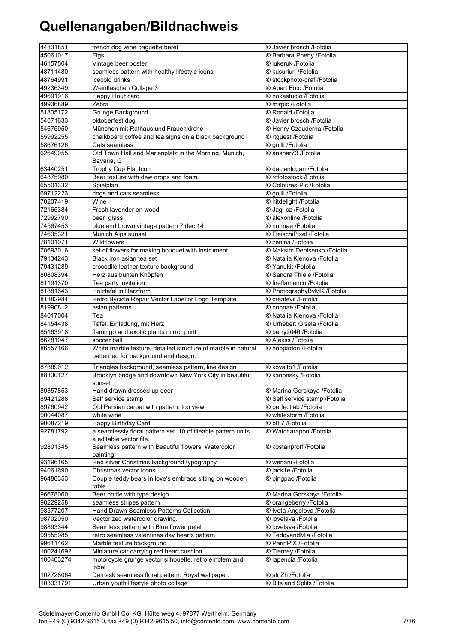| 44831851  | french dog wine baguette beret                                                            | © Javier brosch /Fotolia       |
|-----------|-------------------------------------------------------------------------------------------|--------------------------------|
| 45061017  | Figs                                                                                      | © Barbara Pheby / Fotolia      |
| 46157504  | Vintage beer poster                                                                       | © lukeruk /Fotolia             |
| 48711480  | seamless pattern with healthy lifestyle icons                                             | © kusuriuri /Fotolia           |
| 48764991  | icecold drinks                                                                            | © stockphoto-graf /Fotolia     |
| 49236349  | Weinflaschen Collage 3                                                                    | © Apart Foto /Fotolia          |
| 49691916  | <b>Happy Hour card</b>                                                                    | © nokastudio /Fotolia          |
| 49936889  | Zebra                                                                                     | © mirpic /Fotolia              |
| 51835172  | Grunge Background                                                                         | © Ronald /Fotolia              |
| 54071633  | oktoberfest dog                                                                           | © Javier brosch / Fotolia      |
| 54675950  | München mit Rathaus und Frauenkirche                                                      | © Henry Czauderna /Fotolia     |
| 55992255  | chalkboard coffee and tea signs on a black background                                     | © rtguest /Fotolia             |
| 58676126  | Cats seamless                                                                             | © gollli /Fotolia              |
| 62649055  | Old Town Hall and Marienplatz in the Morning, Munich,<br>Bavaria, G                       | © anshar73 / Fotolia           |
| 63440251  | Trophy Cup Flat Icon                                                                      | © dacianlogan /Fotolia         |
| 64875980  | Beer texture with dew drops and foam                                                      | © rcfotostock /Fotolia         |
| 65501332  | Spielplan                                                                                 | © Coloures-Pic /Fotolia        |
| 69712223  | dogs and cats seamless                                                                    | © gollli /Fotolia              |
| 70207419  | Wine                                                                                      | © hitdelight /Fotolia          |
| 72165384  | Fresh lavender on wood                                                                    | © Jag_cz /Fotolia              |
| 72992790  | beer_glass                                                                                | © alexonline /Fotolia          |
| 74567453  | blue and brown vintage pattern 7 dec 14                                                   | © nnnnae /Fotolia              |
| 74635321  | Munich Alps sunset                                                                        | © FleischiPixel /Fotolia       |
| 78101071  | Wildflowers                                                                               | © zenina /Fotolia              |
| 78693016  | set of flowers for making bouquet with instrument                                         | © Maksim Denisenko /Fotolia    |
| 79134243  | Black iron asian tea set                                                                  | © Natalia Klenova / Fotolia    |
| 79431289  | crocodile leather texture background                                                      | © Yanukit /Fotolia             |
| 80808394  | Herz aus bunten Knöpfen                                                                   | © Sandra Thiele / Fotolia      |
| 81191370  | Tea party invitation                                                                      | © fireflamenco /Fotolia        |
| 81881643  | <b>Holztafel in Herzform</b>                                                              | © PhotographyByMK /Fotolia     |
| 81882984  | Retro Bycicle Repair Vector Label or Logo Template                                        | © createvil /Fotolia           |
| 81990812  | asian patterns                                                                            | © nnnnae /Fotolia              |
| 84017004  | Tea                                                                                       | © Natalia Klenova / Fotolia    |
| 84154438  | Tafel, Einladung, mit Herz                                                                | © Urheber: Gisela /Fotolia     |
| 85163918  | flamingo and exotic plants mirror print                                                   | © berry2046 /Fotolia           |
| 86281047  | soccer ball                                                                               | © Alekss / Fotolia             |
| 86557166  | White marble texture, detailed structure of marble in natural                             | © noppadon /Fotolia            |
|           | patterned for background and design.                                                      |                                |
| 87889012  | Triangles background, seamless pattern, line design                                       | © kovalto1 /Fotolia            |
| 88330127  | Brooklyn bridge and downtown New York City in beautiful<br>sunset                         | C kanonsky /Fotolia            |
| 89357853  | Hand drawn dressed up deer                                                                | © Marina Gorskaya / Fotolia    |
| 89421288  | Self service stamp                                                                        | © Self service stamp / Fotolia |
| 89760942  | Old Persian carpet with pattern. top view                                                 | © perfectlab /Fotolia          |
| 90044087  | white wine                                                                                | © whitestorm /Fotolia          |
| 90087219  | <b>Happy Birthday Card</b>                                                                | © bf87 /Fotolia                |
| 92781792  | a seamlessly floral pattern set. 10 of tileable pattern units.<br>a editable vector file. | © Watcharapon / Fotolia        |
| 92801345  | Seamless pattern with Beautiful flowers, Watercolor<br>painting                           | © kostanproff /Fotolia         |
| 93196165  | Red silver Christmas background typography                                                | © wenani /Fotolia              |
| 94061690  | Christmas vector icons                                                                    | © jack1e /Fotolia              |
| 96488353  | Couple teddy bears in love's embrace sitting on wooden<br>table                           | © pingpao /Fotolia             |
| 96678060  | Beer bottle with type design                                                              | © Marina Gorskaya /Fotolia     |
| 98229258  | seamless stripes pattern                                                                  | © orangeberry /Fotolia         |
| 98577207  | Hand Drawn Seamless Patterns Collection                                                   | © Iveta Angelova /Fotolia      |
| 98702050  | Vectorized watercolor drawing.                                                            | © lovelava /Fotolia            |
| 98893344  | Seamless pattern with Blue flower petal                                                   | © lovelava /Fotolia            |
| 99555985  | retro seamless valentines day hearts pattern                                              | © TeddyandMia /Fotolia         |
| 99611462  | Marble texture background                                                                 | © ParinPIX /Fotolia            |
| 100241692 | Miniature car carrying red heart cushion                                                  | © Tierney /Fotolia             |
| 100403274 | motorcycle grunge vector silhouette, retro emblem and<br>label                            | © lapencia / Fotolia           |
| 102728064 | Damask seamless floral pattern. Royal wallpaper.                                          | © striZh /Fotolia              |
| 103331791 | Urban youth lifestyle photo collage                                                       | © Bits and Splits /Fotolia     |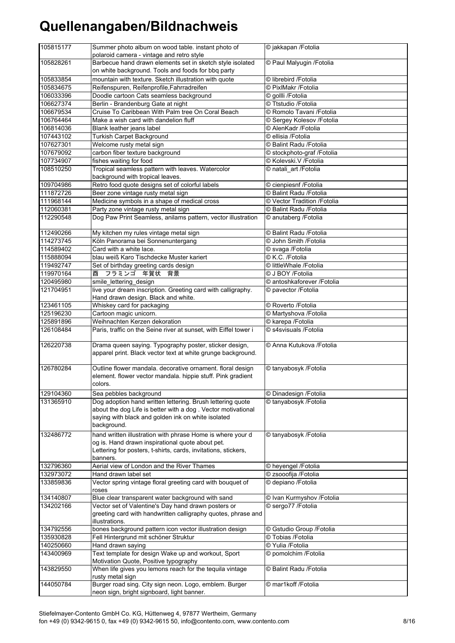| 105815177 | Summer photo album on wood table. instant photo of<br>polaroid camera - vintage and retro style                                        | © jakkapan / Fotolia        |
|-----------|----------------------------------------------------------------------------------------------------------------------------------------|-----------------------------|
| 105828261 | Barbecue hand drawn elements set in sketch style isolated                                                                              | © Paul Malyugin / Fotolia   |
|           | on white background. Tools and foods for bbq party                                                                                     |                             |
| 105833854 | mountain with texture. Sketch illustration with quote                                                                                  | © librebird /Fotolia        |
| 105834675 | Reifenspuren, Reifenprofile, Fahrradreifen                                                                                             | © PixlMakr /Fotolia         |
| 106033396 | Doodle cartoon Cats seamless background                                                                                                | © gollli /Fotolia           |
| 106627374 | Berlin - Brandenburg Gate at night                                                                                                     | © Ttstudio /Fotolia         |
| 106679534 | Cruise To Caribbean With Palm tree On Coral Beach                                                                                      | © Romolo Tavani / Fotolia   |
| 106764464 | Make a wish card with dandelion fluff                                                                                                  | © Sergey Kolesov / Fotolia  |
| 106814036 | Blank leather jeans label                                                                                                              | © AlenKadr / Fotolia        |
| 107443102 | <b>Turkish Carpet Background</b>                                                                                                       | © ellisia /Fotolia          |
| 107627301 | Welcome rusty metal sign                                                                                                               | © Balint Radu / Fotolia     |
| 107679092 | carbon fiber texture background                                                                                                        | © stockphoto-graf /Fotolia  |
| 107734907 | fishes waiting for food                                                                                                                | © Kolevski.V /Fotolia       |
| 108510250 | Tropical seamless pattern with leaves. Watercolor                                                                                      | © natali art /Fotolia       |
|           | background with tropical leaves.                                                                                                       |                             |
| 109704986 | Retro food quote designs set of colorful labels                                                                                        | © cienpiesnf /Fotolia       |
| 111872726 | Beer zone vintage rusty metal sign                                                                                                     | © Balint Radu / Fotolia     |
| 111968144 | Medicine symbols in a shape of medical cross                                                                                           | © Vector Tradition /Fotolia |
| 112060381 | Party zone vintage rusty metal sign                                                                                                    | © Balint Radu /Fotolia      |
| 112290548 | Dog Paw Print Seamless, anilams pattern, vector illustration                                                                           | © anutaberg /Fotolia        |
|           |                                                                                                                                        |                             |
| 112490266 | My kitchen my rules vintage metal sign                                                                                                 | © Balint Radu / Fotolia     |
| 114273745 | Köln Panorama bei Sonnenuntergang                                                                                                      | © John Smith /Fotolia       |
| 114589402 | Card with a white lace.                                                                                                                | © svaga /Fotolia            |
| 115888094 | blau weiß Karo Tischdecke Muster kariert                                                                                               | C K.C. /Fotolia             |
| 119492747 | Set of birthday greeting cards design                                                                                                  | © littleWhale /Fotolia      |
| 119970164 | 酉 フラミンゴ 年賀状<br>背景                                                                                                                      | © J BOY /Fotolia            |
| 120495980 | smile_lettering_design                                                                                                                 | © antoshkaforever / Fotolia |
| 121704951 | live your dream inscription. Greeting card with calligraphy.                                                                           | © pavector /Fotolia         |
|           | Hand drawn design. Black and white.                                                                                                    |                             |
| 123461105 | Whiskey card for packaging                                                                                                             | © Roverto /Fotolia          |
| 125196230 | Cartoon magic unicorn.                                                                                                                 | © Martyshova / Fotolia      |
| 125891896 | Weihnachten Kerzen dekoration                                                                                                          | © karepa / Fotolia          |
| 126108484 | Paris, traffic on the Seine river at sunset, with Eiffel tower i                                                                       | © s4svisuals /Fotolia       |
|           |                                                                                                                                        |                             |
| 126220738 | Drama queen saying. Typography poster, sticker design,<br>apparel print. Black vector text at white grunge background.                 | © Anna Kutukova / Fotolia   |
| 126780284 | Outline flower mandala. decorative ornament. floral design<br>element. flower vector mandala. hippie stuff. Pink gradient<br>colors.   | © tanyabosyk /Fotolia       |
| 129104360 | Sea pebbles background                                                                                                                 | © Dinadesign / Fotolia      |
| 131365910 | Dog adoption hand written lettering. Brush lettering quote                                                                             | © tanyabosyk /Fotolia       |
|           | about the dog Life is better with a dog. Vector motivational                                                                           |                             |
|           | saying with black and golden ink on white isolated<br>background.                                                                      |                             |
| 132486772 | hand written illustration with phrase Home is where your d                                                                             | © tanyabosyk /Fotolia       |
|           | og is. Hand drawn inspirational quote about pet.                                                                                       |                             |
|           | Lettering for posters, t-shirts, cards, invitations, stickers,                                                                         |                             |
|           | banners.                                                                                                                               |                             |
| 132796360 | Aerial view of London and the River Thames                                                                                             | © heyengel /Fotolia         |
| 132973072 | Hand drawn label set                                                                                                                   | © zsooofija /Fotolia        |
| 133859836 | Vector spring vintage floral greeting card with bouquet of                                                                             | © depiano / Fotolia         |
|           | roses                                                                                                                                  |                             |
| 134140807 | Blue clear transparent water background with sand                                                                                      | © Ivan Kurmyshov /Fotolia   |
| 134202166 | Vector set of Valentine's Day hand drawn posters or<br>greeting card with handwritten calligraphy quotes, phrase and<br>illustrations. | © sergo77 /Fotolia          |
| 134792556 | bones background pattern icon vector illustration design                                                                               | © Gstudio Group / Fotolia   |
| 135930828 | Fell Hintergrund mit schöner Struktur                                                                                                  | © Tobias /Fotolia           |
| 140250660 | Hand drawn saying                                                                                                                      | © Yulia /Fotolia            |
| 143400969 | Text template for design Wake up and workout, Sport                                                                                    | © pomolchim /Fotolia        |
|           | Motivation Quote, Positive typography                                                                                                  |                             |
| 143829550 | When life gives you lemons reach for the tequila vintage                                                                               | © Balint Radu / Fotolia     |
|           | rusty metal sign                                                                                                                       |                             |
| 144050784 | Burger road sing. City sign neon. Logo, emblem. Burger<br>neon sign, bright signboard, light banner.                                   | © mar1koff /Fotolia         |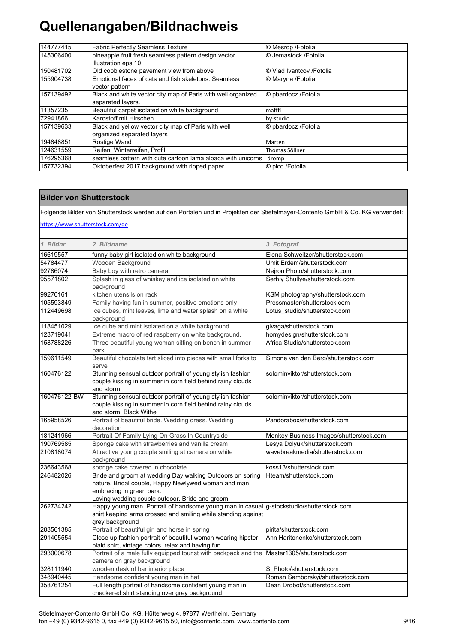| 144777415 | <b>Fabric Perfectly Seamless Texture</b>                                          | © Mesrop / Fotolia        |
|-----------|-----------------------------------------------------------------------------------|---------------------------|
| 145306400 | pineapple fruit fresh seamless pattern design vector<br>illustration eps 10       | © Jemastock / Fotolia     |
| 150481702 | Old cobblestone pavement view from above                                          | © Vlad Ivantcov / Fotolia |
| 155904738 | Emotional faces of cats and fish skeletons. Seamless<br>vector pattern            | © Maryna /Fotolia         |
| 157139492 | Black and white vector city map of Paris with well organized<br>separated layers. | © pbardocz / Fotolia      |
| 11357235  | Beautiful carpet isolated on white background                                     | mafffi                    |
| 72941866  | Karostoff mit Hirschen                                                            | by-studio                 |
| 157139633 | Black and yellow vector city map of Paris with well<br>organized separated layers | © pbardocz /Fotolia       |
| 194848851 | Rostige Wand                                                                      | Marten                    |
| 124631559 | Reifen, Winterreifen, Profil                                                      | Thomas Söllner            |
| 176295368 | seamless pattern with cute cartoon lama alpaca with unicorns                      | dromp                     |
| 157732394 | Oktoberfest 2017 background with ripped paper                                     | © pico /Fotolia           |

### **Bilder von Shutterstock**

Folgende Bilder von Shutterstock werden auf den Portalen und in Projekten der Stiefelmayer-Contento GmbH & Co. KG verwendet:

https://www.shutterstock.com/de

| 1. Bildnr.   | 2. Bildname                                                                                 | 3. Fotograf                                                      |
|--------------|---------------------------------------------------------------------------------------------|------------------------------------------------------------------|
| 16619557     | funny baby girl isolated on white background                                                | Elena Schweitzer/shutterstock.com                                |
| 54784477     | Wooden Background                                                                           | Umit Erdem/shutterstock.com                                      |
| 92786074     | Baby boy with retro camera                                                                  | Nejron Photo/shutterstock.com                                    |
| 95571802     | Splash in glass of whiskey and ice isolated on white                                        | Serhiy Shullye/shutterstock.com                                  |
|              | background                                                                                  |                                                                  |
| 99270161     | kitchen utensils on rack                                                                    | KSM photography/shutterstock.com                                 |
| 105593849    | Family having fun in summer, positive emotions only                                         | Pressmaster/shutterstock.com                                     |
| 112449698    | Ice cubes, mint leaves, lime and water splash on a white                                    | Lotus studio/shutterstock.com                                    |
|              | background                                                                                  |                                                                  |
| 118451029    | Ice cube and mint isolated on a white background                                            | givaga/shutterstock.com                                          |
| 123719041    | Extreme macro of red raspberry on white background.                                         | homydesign/shutterstock.com                                      |
| 158788226    | Three beautiful young woman sitting on bench in summer                                      | Africa Studio/shutterstock.com                                   |
|              | park                                                                                        |                                                                  |
| 159611549    | Beautiful chocolate tart sliced into pieces with small forks to                             | Simone van den Berg/shutterstock.com                             |
|              | serve                                                                                       |                                                                  |
| 160476122    | Stunning sensual outdoor portrait of young stylish fashion                                  | solominviktor/shutterstock.com                                   |
|              | couple kissing in summer in corn field behind rainy clouds                                  |                                                                  |
|              | and storm.                                                                                  |                                                                  |
| 160476122-BW | Stunning sensual outdoor portrait of young stylish fashion                                  | solominviktor/shutterstock.com                                   |
|              | couple kissing in summer in corn field behind rainy clouds                                  |                                                                  |
|              | and storm. Black Withe                                                                      |                                                                  |
| 165958526    | Portrait of beautiful bride. Wedding dress. Wedding<br>decoration                           | Pandorabox/shutterstock.com                                      |
| 181241966    | Portrait Of Family Lying On Grass In Countryside                                            | Monkey Business Images/shutterstock.com                          |
| 190769585    | Sponge cake with strawberries and vanilla cream                                             |                                                                  |
| 210818074    | Attractive young couple smiling at camera on white                                          | Lesya Dolyuk/shutterstock.com<br>wavebreakmedia/shutterstock.com |
|              | background                                                                                  |                                                                  |
| 236643568    | sponge cake covered in chocolate                                                            | koss13/shutterstock.com                                          |
| 246482026    | Bride and groom at wedding Day walking Outdoors on spring                                   | Hteam/shutterstock.com                                           |
|              | nature. Bridal couple, Happy Newlywed woman and man                                         |                                                                  |
|              | embracing in green park.                                                                    |                                                                  |
|              | Loving wedding couple outdoor. Bride and groom                                              |                                                                  |
| 262734242    | Happy young man. Portrait of handsome young man in casual g-stockstudio/shutterstock.com    |                                                                  |
|              | shirt keeping arms crossed and smiling while standing against                               |                                                                  |
|              | grey background                                                                             |                                                                  |
| 283561385    | Portrait of beautiful girl and horse in spring                                              | pirita/shutterstock.com                                          |
| 291405554    | Close up fashion portrait of beautiful woman wearing hipster                                | Ann Haritonenko/shutterstock.com                                 |
|              | plaid shirt, vintage colors, relax and having fun.                                          |                                                                  |
| 293000678    | Portrait of a male fully equipped tourist with backpack and the Master1305/shutterstock.com |                                                                  |
|              | camera on gray background                                                                   |                                                                  |
| 328111940    | wooden desk of bar interior place                                                           | S Photo/shutterstock.com                                         |
| 348940445    | Handsome confident young man in hat                                                         | Roman Samborskyi/shutterstock.com                                |
| 358761254    | Full length portrait of handsome confident young man in                                     | Dean Drobot/shutterstock.com                                     |
|              | checkered shirt standing over grey background                                               |                                                                  |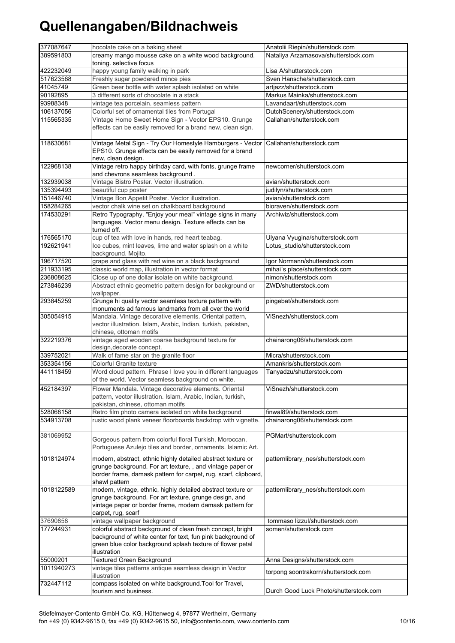| 377087647  | hocolate cake on a baking sheet                                                                                                                                                                               | Anatolii Riepin/shutterstock.com       |
|------------|---------------------------------------------------------------------------------------------------------------------------------------------------------------------------------------------------------------|----------------------------------------|
| 389591803  | creamy mango mousse cake on a white wood background.                                                                                                                                                          | Nataliya Arzamasova/shutterstock.com   |
|            | toning. selective focus                                                                                                                                                                                       |                                        |
| 422232049  | happy young family walking in park                                                                                                                                                                            | Lisa A/shutterstock.com                |
| 517623568  | Freshly sugar powdered mince pies                                                                                                                                                                             | Sven Hansche/shutterstock.com          |
| 41045749   | Green beer bottle with water splash isolated on white                                                                                                                                                         | artjazz/shutterstock.com               |
| 90192895   | 3 different sorts of chocolate in a stack                                                                                                                                                                     | Markus Mainka/shutterstock.com         |
| 93988348   | vintage tea porcelain. seamless pattern                                                                                                                                                                       | Lavandaart/shutterstock.com            |
| 106137056  | Colorful set of ornamental tiles from Portugal                                                                                                                                                                | DutchScenery/shutterstock.com          |
| 115565335  | Vintage Home Sweet Home Sign - Vector EPS10. Grunge                                                                                                                                                           | Callahan/shutterstock.com              |
|            | effects can be easily removed for a brand new, clean sign.                                                                                                                                                    |                                        |
| 118630681  | Vintage Metal Sign - Try Our Homestyle Hamburgers - Vector Callahan/shutterstock.com<br>EPS10. Grunge effects can be easily removed for a brand<br>new, clean design.                                         |                                        |
| 122968138  | Vintage retro happy birthday card, with fonts, grunge frame<br>and chevrons seamless background.                                                                                                              | newcorner/shutterstock.com             |
| 132939038  | Vintage Bistro Poster. Vector illustration.                                                                                                                                                                   | avian/shutterstock.com                 |
| 135394493  | beautiful cup poster                                                                                                                                                                                          | judilyn/shutterstock.com               |
| 151446740  | Vintage Bon Appetit Poster. Vector illustration.                                                                                                                                                              | avian/shutterstock.com                 |
| 158284265  | vector chalk wine set on chalkboard background                                                                                                                                                                | bioraven/shutterstock.com              |
| 174530291  | Retro Typography, "Enjoy your meal" vintage signs in many                                                                                                                                                     | Archiwiz/shutterstock.com              |
|            | languages. Vector menu design. Texture effects can be<br>turned off.                                                                                                                                          |                                        |
| 176565170  | cup of tea with love in hands, red heart teabag.                                                                                                                                                              | Ulyana Vyugina/shutterstock.com        |
| 192621941  | Ice cubes, mint leaves, lime and water splash on a white                                                                                                                                                      | Lotus_studio/shutterstock.com          |
|            | background. Mojito.                                                                                                                                                                                           |                                        |
| 196717520  | grape and glass with red wine on a black background                                                                                                                                                           | Igor Normann/shutterstock.com          |
| 211933195  | classic world map, illustration in vector format                                                                                                                                                              | mihai's place/shutterstock.com         |
| 236808625  | Close up of one dollar isolate on white background.                                                                                                                                                           | nimon/shutterstock.com                 |
| 273846239  | Abstract ethnic geometric pattern design for background or                                                                                                                                                    | ZWD/shutterstock.com                   |
|            | wallpaper.                                                                                                                                                                                                    |                                        |
| 293845259  | Grunge hi quality vector seamless texture pattern with<br>monuments ad famous landmarks from all over the world                                                                                               | pingebat/shutterstock.com              |
| 305054915  | Mandala. Vintage decorative elements. Oriental pattern,<br>vector illustration. Islam, Arabic, Indian, turkish, pakistan,<br>chinese, ottoman motifs                                                          | ViSnezh/shutterstock.com               |
| 322219376  | vintage aged wooden coarse background texture for<br>design, decorate concept.                                                                                                                                | chainarong06/shutterstock.com          |
| 339752021  | Walk of fame star on the granite floor                                                                                                                                                                        | Micra/shutterstock.com                 |
| 353354156  | Colorful Granite texture                                                                                                                                                                                      | Amankris/shutterstock.com              |
| 441118459  | Word cloud pattern. Phrase I love you in different languages<br>of the world. Vector seamless background on white.                                                                                            | Tanyadzu/shutterstock.com              |
| 452184397  | Flower Mandala. Vintage decorative elements. Oriental<br>pattern, vector illustration. Islam, Arabic, Indian, turkish,<br>pakistan, chinese, ottoman motifs                                                   | ViSnezh/shutterstock.com               |
| 528068158  | Retro film photo camera isolated on white background                                                                                                                                                          | finwal89/shutterstock.com              |
| 534913708  | rustic wood plank veneer floorboards backdrop with vignette.                                                                                                                                                  | chainarong06/shutterstock.com          |
| 381069952  | Gorgeous pattern from colorful floral Turkish, Moroccan,<br>Portuguese Azulejo tiles and border, ornaments. Islamic Art.                                                                                      | PGMart/shutterstock.com                |
| 1018124974 | modern, abstract, ethnic highly detailed abstract texture or<br>grunge background. For art texture,, and vintage paper or<br>border frame, damask pattern for carpet, rug, scarf, clipboard,<br>shawl pattern | patternlibrary_nes/shutterstock.com    |
| 1018122589 | modern, vintage, ethnic, highly detailed abstract texture or<br>grunge background. For art texture, grunge design, and<br>vintage paper or border frame, modern damask pattern for<br>carpet, rug, scarf      | patternlibrary_nes/shutterstock.com    |
| 37690858   | vintage wallpaper background                                                                                                                                                                                  | tommaso lizzul/shutterstock.com        |
| 177244931  | colorful abstract background of clean fresh concept, bright<br>background of white center for text, fun pink background of<br>green blue color background splash texture of flower petal<br>illustration      | somen/shutterstock.com                 |
| 55000201   | <b>Textured Green Background</b>                                                                                                                                                                              | Anna Designs/shutterstock.com          |
| 1011940273 | vintage tiles patterns antique seamless design in Vector<br>illustration                                                                                                                                      | torpong soontrakorn/shutterstock.com   |
| 732447112  | compass isolated on white background. Tool for Travel,<br>tourism and business.                                                                                                                               | Durch Good Luck Photo/shutterstock.com |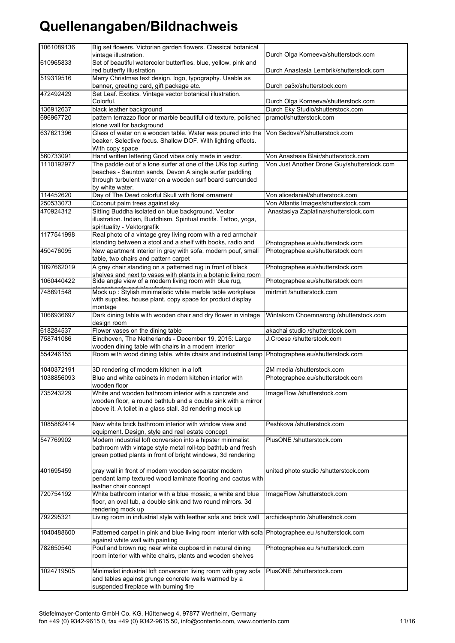| 1061089136 | Big set flowers. Victorian garden flowers. Classical botanical<br>vintage illustration.                                  | Durch Olga Korneeva/shutterstock.com        |
|------------|--------------------------------------------------------------------------------------------------------------------------|---------------------------------------------|
| 610965833  | Set of beautiful watercolor butterflies. blue, yellow, pink and                                                          |                                             |
|            | red butterfly illustration                                                                                               | Durch Anastasia Lembrik/shutterstock.com    |
| 519319516  | Merry Christmas text design. logo, typography. Usable as                                                                 |                                             |
|            | banner, greeting card, gift package etc.<br>Set Leaf. Exotics. Vintage vector botanical illustration.                    | Durch pa3x/shutterstock.com                 |
| 472492429  | Colorful.                                                                                                                | Durch Olga Korneeva/shutterstock.com        |
| 136912637  | black leather background                                                                                                 | Durch Eky Studio/shutterstock.com           |
| 696967720  | pattern terrazzo floor or marble beautiful old texture, polished                                                         | pramot/shutterstock.com                     |
|            | stone wall for background                                                                                                |                                             |
| 637621396  | Glass of water on a wooden table. Water was poured into the                                                              | Von SedovaY/shutterstock.com                |
|            | beaker. Selective focus. Shallow DOF. With lighting effects.<br>With copy space                                          |                                             |
| 560733091  | Hand written lettering Good vibes only made in vector.                                                                   | Von Anastasia Blair/shutterstock.com        |
| 1110192977 | The paddle out of a lone surfer at one of the UKs top surfing                                                            | Von Just Another Drone Guy/shutterstock.com |
|            | beaches - Saunton sands, Devon A single surfer paddling                                                                  |                                             |
|            | through turbulent water on a wooden surf board surrounded                                                                |                                             |
|            | by white water.                                                                                                          |                                             |
| 114452620  | Day of The Dead colorful Skull with floral ornament                                                                      | Von alicedaniel/shutterstock.com            |
| 250533073  | Coconut palm trees against sky                                                                                           | Von Atlantis Images/shutterstock.com        |
| 470924312  | Sitting Buddha isolated on blue background. Vector                                                                       | Anastasiya Zaplatina/shutterstock.com       |
|            | illustration. Indian, Buddhism, Spiritual motifs. Tattoo, yoga,<br>spirituality - Vektorgrafik                           |                                             |
| 1177541998 | Real photo of a vintage grey living room with a red armchair                                                             |                                             |
|            | standing between a stool and a shelf with books, radio and                                                               | Photographee.eu/shutterstock.com            |
| 450476095  | New apartment interior in grey with sofa, modern pouf, small                                                             | Photographee.eu/shutterstock.com            |
|            | table, two chairs and pattern carpet                                                                                     |                                             |
| 1097662019 | A grey chair standing on a patterned rug in front of black                                                               | Photographee.eu/shutterstock.com            |
|            | shelves and next to vases with plants in a botanic living room<br>Side angle view of a modern living room with blue rug, |                                             |
| 1060440422 |                                                                                                                          | Photographee.eu/shutterstock.com            |
| 748691548  | Mock up : Stylish minimalistic white marble table workplace                                                              | mirtmirt /shutterstock.com                  |
|            | with supplies, house plant. copy space for product display                                                               |                                             |
| 1066936697 | montage<br>Dark dining table with wooden chair and dry flower in vintage                                                 | Wintakorn Choemnarong /shutterstock.com     |
|            | design room                                                                                                              |                                             |
| 618284537  | Flower vases on the dining table                                                                                         | akachai studio /shutterstock.com            |
| 758741086  | Eindhoven, The Netherlands - December 19, 2015: Large                                                                    | J.Croese /shutterstock.com                  |
|            | wooden dining table with chairs in a modern interior                                                                     |                                             |
| 554246155  | Room with wood dining table, white chairs and industrial lamp                                                            | Photographee.eu/shutterstock.com            |
| 1040372191 | 3D rendering of modern kitchen in a loft                                                                                 | 2M media /shutterstock.com                  |
| 1038856093 | Blue and white cabinets in modern kitchen interior with                                                                  | Photographee.eu/shutterstock.com            |
|            | wooden floor                                                                                                             |                                             |
| 735243229  | White and wooden bathroom interior with a concrete and                                                                   | ImageFlow /shutterstock.com                 |
|            | wooden floor, a round bathtub and a double sink with a mirror                                                            |                                             |
|            | above it. A toilet in a glass stall. 3d rendering mock up                                                                |                                             |
| 1085882414 | New white brick bathroom interior with window view and                                                                   | Peshkova /shutterstock.com                  |
|            | equipment. Design, style and real estate concept                                                                         |                                             |
| 547769902  | Modern industrial loft conversion into a hipster minimalist                                                              | PlusONE /shutterstock.com                   |
|            | bathroom with vintage style metal roll-top bathtub and fresh                                                             |                                             |
|            | green potted plants in front of bright windows, 3d rendering                                                             |                                             |
|            |                                                                                                                          |                                             |
| 401695459  | gray wall in front of modern wooden separator modern                                                                     | united photo studio /shutterstock.com       |
|            | pendant lamp textured wood laminate flooring and cactus with<br>leather chair concept                                    |                                             |
| 720754192  | White bathroom interior with a blue mosaic, a white and blue                                                             | ImageFlow /shutterstock.com                 |
|            | floor, an oval tub, a double sink and two round mirrors. 3d                                                              |                                             |
|            | rendering mock up                                                                                                        |                                             |
| 792295321  | Living room in industrial style with leather sofa and brick wall                                                         | archideaphoto /shutterstock.com             |
|            |                                                                                                                          |                                             |
| 1040488600 | Patterned carpet in pink and blue living room interior with sofa                                                         | Photographee.eu /shutterstock.com           |
| 782650540  | against white wall with painting<br>Pouf and brown rug near white cupboard in natural dining                             | Photographee.eu /shutterstock.com           |
|            | room interior with white chairs, plants and wooden shelves                                                               |                                             |
|            |                                                                                                                          |                                             |
| 1024719505 | Minimalist industrial loft conversion living room with grey sofa                                                         | PlusONE /shutterstock.com                   |
|            | and tables against grunge concrete walls warmed by a                                                                     |                                             |
|            | suspended fireplace with burning fire                                                                                    |                                             |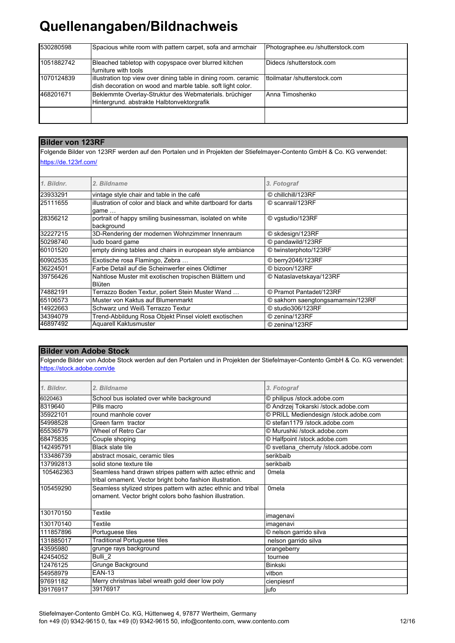| 530280598  | Spacious white room with pattern carpet, sofa and armchair                                                                     | Photographee.eu /shutterstock.com |
|------------|--------------------------------------------------------------------------------------------------------------------------------|-----------------------------------|
| 1051882742 | Bleached tabletop with copyspace over blurred kitchen<br>furniture with tools                                                  | Didecs /shutterstock.com          |
| 1070124839 | illustration top view over dining table in dining room. ceramic<br>dish decoration on wood and marble table. soft light color. | ttoilmatar /shutterstock.com      |
| 468201671  | Beklemmte Overlay-Struktur des Webmaterials. brüchiger<br>Hintergrund. abstrakte Halbtonvektorgrafik                           | Anna Timoshenko                   |
|            |                                                                                                                                |                                   |

### **Bilder von 123RF**

Folgende Bilder von 123RF werden auf den Portalen und in Projekten der Stiefelmayer-Contento GmbH & Co. KG verwendet: https://de.123rf.com/

| 1. Bildnr. | 2. Bildname                                                   | 3. Fotograf                        |
|------------|---------------------------------------------------------------|------------------------------------|
| 23933291   | vintage style chair and table in the café                     | © chillchill/123RF                 |
| 25111655   | illustration of color and black and white dartboard for darts | © scanrail/123RF                   |
|            | qame                                                          |                                    |
| 28356212   | portrait of happy smiling businessman, isolated on white      | © vgstudio/123RF                   |
|            | background                                                    |                                    |
| 32227215   | 3D-Rendering der modernen Wohnzimmer Innenraum                | © skdesign/123RF                   |
| 50298740   | ludo board game                                               | © pandawild/123RF                  |
| 60101520   | empty dining tables and chairs in european style ambiance     | © twinsterphoto/123RF              |
| 60902535   | Exotische rosa Flamingo, Zebra                                | © berry2046/123RF                  |
| 36224501   | Farbe Detail auf die Scheinwerfer eines Oldtimer              | © bizoon/123RF                     |
| 39756426   | Nahtlose Muster mit exotischen tropischen Blättern und        | © Nataslavetskaya/123RF            |
|            | Blüten                                                        |                                    |
| 74882191   | Terrazzo Boden Textur, poliert Stein Muster Wand              | © Pramot Pantadet/123RF            |
| 65106573   | Muster von Kaktus auf Blumenmarkt                             | © sakhorn saengtongsamarnsin/123RF |
| 14922663   | Schwarz und Weiß Terrazzo Textur                              | © studio306/123RF                  |
| 34394079   | Trend-Abbildung Rosa Objekt Pinsel violett exotischen         | © zenina/123RF                     |
| 46897492   | Aquarell Kaktusmuster                                         | © zenina/123RF                     |
|            |                                                               |                                    |

### **Bilder von Adobe Stock**

Folgende Bilder von Adobe Stock werden auf den Portalen und in Projekten der Stiefelmayer-Contento GmbH & Co. KG verwendet: https://stock.adobe.com/de

| 1. Bildnr. | 2. Bildname                                                                                                                 | 3. Fotograf                           |
|------------|-----------------------------------------------------------------------------------------------------------------------------|---------------------------------------|
| 6020463    | School bus isolated over white background                                                                                   | © philipus /stock.adobe.com           |
| 8319640    | Pills macro                                                                                                                 | © Andrzej Tokarski /stock.adobe.com   |
| 35922101   | round manhole cover                                                                                                         | © PRILL Mediendesign /stock.adobe.com |
| 54998528   | Green farm tractor                                                                                                          | © stefan1179 /stock.adobe.com         |
| 65536579   | Wheel of Retro Car                                                                                                          | © Murushki /stock.adobe.com           |
| 68475835   | Couple shoping                                                                                                              | © Halfpoint /stock.adobe.com          |
| 142495791  | <b>Black slate tile</b>                                                                                                     | © svetlana cherruty /stock.adobe.com  |
| 133486739  | abstract mosaic, ceramic tiles                                                                                              | serikhaih                             |
| 137992813  | solid stone texture tile                                                                                                    | serikbaib                             |
| 105462363  | Seamless hand drawn stripes pattern with aztec ethnic and<br>tribal ornament. Vector bright boho fashion illustration.      | <b>Omela</b>                          |
| 105459290  | Seamless stylized stripes pattern with aztec ethnic and tribal<br>ornament. Vector bright colors boho fashion illustration. | 0 <sub>mela</sub>                     |
| 130170150  | Textile                                                                                                                     | imagenavi                             |
| 130170140  | Textile                                                                                                                     | imagenavi                             |
| 111857896  | Portuguese tiles                                                                                                            | © nelson garrido silva                |
| 131885017  | <b>Traditional Portuguese tiles</b>                                                                                         | nelson garrido silva                  |
| 43595980   | grunge rays background                                                                                                      | orangeberry                           |
| 42454052   | Bulli <sub>2</sub>                                                                                                          | tournee                               |
| 12476125   | Grunge Background                                                                                                           | <b>Binkski</b>                        |
| 54958979   | <b>EAN-13</b>                                                                                                               | vitbon                                |
| 97691182   | Merry christmas label wreath gold deer low poly                                                                             | cienpiesnf                            |
| 39176917   | 39176917                                                                                                                    | jufo                                  |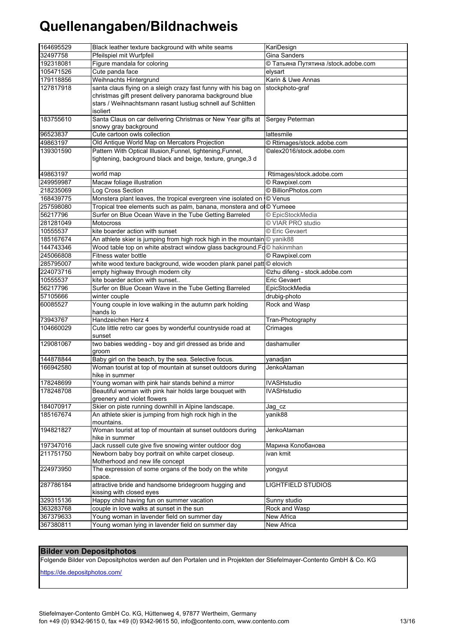| 164695529 | Black leather texture background with white seams                                  | KariDesign                    |
|-----------|------------------------------------------------------------------------------------|-------------------------------|
| 32497758  | Pfeilspiel mit Wurfpfeil                                                           | <b>Gina Sanders</b>           |
| 192318081 | Figure mandala for coloring<br>© Татьяна Путятина /stock.adobe.com                 |                               |
| 105471526 | Cute panda face                                                                    | elysart                       |
| 179118856 | Weihnachts Hintergrund                                                             | Karin & Uwe Annas             |
| 127817918 | santa claus flying on a sleigh crazy fast funny with his bag on                    | stockphoto-graf               |
|           | christmas gift present delivery panorama background blue                           |                               |
|           | stars / Weihnachtsmann rasant lustiug schnell auf Schlitten                        |                               |
|           | isoliert                                                                           |                               |
| 183755610 | Santa Claus on car delivering Christmas or New Year gifts at                       | Sergey Peterman               |
|           | snowy gray background                                                              |                               |
| 96523837  | Cute cartoon owls collection                                                       | lattesmile                    |
| 49863197  | Old Antique World Map on Mercators Projection                                      | © Rtimages/stock.adobe.com    |
| 139301590 | Pattern With Optical Illusion, Funnel, tightening, Funnel,                         | ©alex2016/stock.adobe.com     |
|           | tightening, background black and beige, texture, grunge, 3 d                       |                               |
|           |                                                                                    |                               |
| 49863197  | world map                                                                          | Rtimages/stock.adobe.com      |
| 249959987 | Macaw foliage illustration                                                         | © Rawpixel.com                |
| 218235069 | Log Cross Section                                                                  | © BillionPhotos.com           |
| 168439775 | Monstera plant leaves, the tropical evergreen vine isolated on                     | <b>O</b> Venus                |
| 257598080 | Tropical tree elements such as palm, banana, monstera and ol© Yumeee               |                               |
| 56217796  | Surfer on Blue Ocean Wave in the Tube Getting Barreled                             | © EpicStockMedia              |
| 281281049 | <b>Motocross</b>                                                                   | © VIAR PRO studio             |
| 10555537  | kite boarder action with sunset                                                    | © Eric Gevaert                |
| 185167674 | An athlete skier is jumping from high rock high in the mountain © yanik88          |                               |
| 144743346 | Wood table top on white abstract window glass background.Fd $\copyright$ hakinmhan |                               |
| 245066808 | <b>Fitness water bottle</b>                                                        | © Rawpixel.com                |
| 285795007 | white wood texture background, wide wooden plank panel patt © elovich              |                               |
| 224073716 | empty highway through modern city                                                  | ©zhu difeng - stock.adobe.com |
| 10555537  | kite boarder action with sunset                                                    | Eric Gevaert                  |
| 56217796  | Surfer on Blue Ocean Wave in the Tube Getting Barreled                             | EpicStockMedia                |
| 57105666  | winter couple                                                                      | drubig-photo                  |
| 60085527  | Young couple in love walking in the autumn park holding                            | Rock and Wasp                 |
|           | hands lo                                                                           |                               |
| 73943767  | Handzeichen Herz 4                                                                 | Tran-Photography              |
| 104660029 | Cute little retro car goes by wonderful countryside road at                        | Crimages                      |
|           | sunset                                                                             |                               |
| 129081067 | two babies wedding - boy and girl dressed as bride and                             | dashamuller                   |
|           | groom                                                                              |                               |
| 144878844 | Baby girl on the beach, by the sea. Selective focus.                               | yanadjan                      |
| 166942580 | Woman tourist at top of mountain at sunset outdoors during                         | JenkoAtaman                   |
|           | hike in summer                                                                     |                               |
| 178248699 | Young woman with pink hair stands behind a mirror                                  | <b>IVASHstudio</b>            |
| 178248708 | Beautiful woman with pink hair holds large bouquet with                            | <b>IVASHstudio</b>            |
|           | greenery and violet flowers                                                        |                               |
| 184070917 | Skier on piste running downhill in Alpine landscape.                               | Jag cz                        |
| 185167674 | An athlete skier is jumping from high rock high in the                             | yanik88                       |
|           | mountains.                                                                         |                               |
| 194821827 | Woman tourist at top of mountain at sunset outdoors during                         | JenkoAtaman                   |
|           | hike in summer                                                                     |                               |
| 197347016 | Jack russell cute give five snowing winter outdoor dog                             | Марина Колобанова             |
| 211751750 | Newborn baby boy portrait on white carpet closeup.                                 | ivan kmit                     |
|           | Motherhood and new life concept                                                    |                               |
| 224973950 | The expression of some organs of the body on the white                             | yongyut                       |
|           | space.                                                                             |                               |
| 287786184 | attractive bride and handsome bridegroom hugging and                               | <b>LIGHTFIELD STUDIOS</b>     |
|           | kissing with closed eyes                                                           |                               |
| 329315136 | Happy child having fun on summer vacation                                          | Sunny studio                  |
| 363283768 | couple in love walks at sunset in the sun                                          | Rock and Wasp                 |
| 367379633 | Young woman in lavender field on summer day                                        | New Africa                    |
| 367380811 | Young woman lying in lavender field on summer day                                  | New Africa                    |

### **Bilder von Depositphotos**

Folgende Bilder von Depositphotos werden auf den Portalen und in Projekten der Stiefelmayer-Contento GmbH & Co. KG

https://de.depositphotos.com/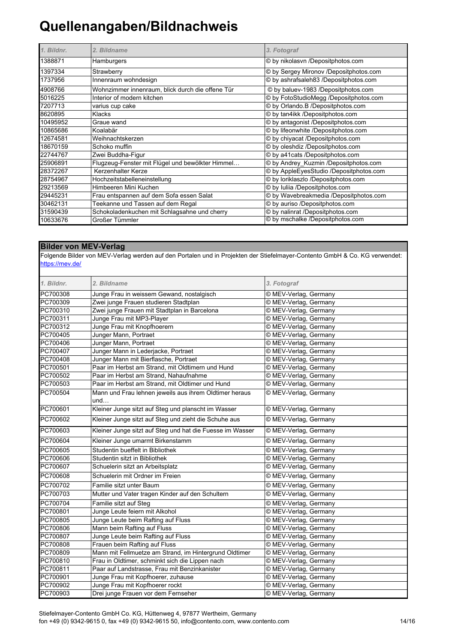| 1. Bildnr. | 2. Bildname                                      | 3. Fotograf                             |
|------------|--------------------------------------------------|-----------------------------------------|
| 1388871    | Hamburgers                                       | © by nikolasvn /Depositphotos.com       |
| 1397334    | Strawberry                                       | © by Sergey Mironov /Depositphotos.com  |
| 1737956    | Innenraum wohndesign                             | © by ashrafsaleh83 /Depositphotos.com   |
| 4908766    | Wohnzimmer innenraum, blick durch die offene Tür | © by baluev-1983 /Depositphotos.com     |
| 5016225    | Interior of modern kitchen                       | © by FotoStudioMegg /Depositphotos.com  |
| 7207713    | varius cup cake                                  | © by Orlando.B /Depositphotos.com       |
| 8620895    | Klacks                                           | © by tan4ikk /Depositphotos.com         |
| 10495952   | Graue wand                                       | © by antagonist /Depositphotos.com      |
| 10865686   | Koalabär                                         | © by lifeonwhite /Depositphotos.com     |
| 12674581   | Weihnachtskerzen                                 | © by chiyacat /Depositphotos.com        |
| 18670159   | Schoko muffin                                    | © by oleshdiz /Depositphotos.com        |
| 22744767   | Zwei Buddha-Figur                                | © by a41 cats /Depositphotos.com        |
| 25906891   | Flugzeug-Fenster mit Flügel und bewölkter Himmel | © by Andrey Kuzmin /Depositphotos.com   |
| 28372267   | Kerzenhalter Kerze                               | © by AppleEyesStudio /Depositphotos.com |
| 28754967   | Hochzeitstabelleneinstellung                     | © by loriklaszlo /Depositphotos.com     |
| 29213569   | Himbeeren Mini Kuchen                            | © by Iuliia /Depositphotos.com          |
| 29445231   | Frau entspannen auf dem Sofa essen Salat         | © by Wavebreakmedia /Depositphotos.com  |
| 30462131   | Teekanne und Tassen auf dem Regal                | © by auriso /Depositphotos.com          |
| 31590439   | Schokoladenkuchen mit Schlagsahne und cherry     | © by nalinrat /Depositphotos.com        |
| 10633676   | Großer Tümmler                                   | © by mschalke /Depositphotos.com        |

### **Bilder von MEV-Verlag**

https://mev.de/ Folgende Bilder von MEV-Verlag werden auf den Portalen und in Projekten der Stiefelmayer-Contento GmbH & Co. KG verwendet:

| 1. Bildnr. | 2. Bildname                                                   | 3. Fotograf           |
|------------|---------------------------------------------------------------|-----------------------|
| PC700308   | Junge Frau in weissem Gewand, nostalgisch                     | © MEV-Verlag, Germany |
| PC700309   | Zwei junge Frauen studieren Stadtplan                         | © MEV-Verlag, Germany |
| PC700310   | Zwei junge Frauen mit Stadtplan in Barcelona                  | © MEV-Verlag, Germany |
| PC700311   | Junge Frau mit MP3-Player                                     | © MEV-Verlag, Germany |
| PC700312   | Junge Frau mit Knopfhoerern                                   | © MEV-Verlag, Germany |
| PC700405   | Junger Mann, Portraet                                         | © MEV-Verlag, Germany |
| PC700406   | Junger Mann, Portraet                                         | © MEV-Verlag, Germany |
| PC700407   | Junger Mann in Lederjacke, Portraet                           | © MEV-Verlag, Germany |
| PC700408   | Junger Mann mit Bierflasche, Portraet                         | © MEV-Verlag, Germany |
| PC700501   | Paar im Herbst am Strand, mit Oldtimern und Hund              | © MEV-Verlag, Germany |
| PC700502   | Paar im Herbst am Strand, Nahaufnahme                         | © MEV-Verlag, Germany |
| PC700503   | Paar im Herbst am Strand, mit Oldtimer und Hund               | © MEV-Verlag, Germany |
| PC700504   | Mann und Frau lehnen jeweils aus ihrem Oldtimer heraus<br>und | © MEV-Verlag, Germany |
| PC700601   | Kleiner Junge sitzt auf Steg und planscht im Wasser           | © MEV-Verlag, Germany |
| PC700602   | Kleiner Junge sitzt auf Steg und zieht die Schuhe aus         | © MEV-Verlag, Germany |
| PC700603   | Kleiner Junge sitzt auf Steg und hat die Fuesse im Wasser     | © MEV-Verlag, Germany |
| PC700604   | Kleiner Junge umarmt Birkenstamm                              | © MEV-Verlag, Germany |
| PC700605   | Studentin bueffelt in Bibliothek                              | © MEV-Verlag, Germany |
| PC700606   | Studentin sitzt in Bibliothek                                 | © MEV-Verlag, Germany |
| PC700607   | Schuelerin sitzt an Arbeitsplatz                              | © MEV-Verlag, Germany |
| PC700608   | Schuelerin mit Ordner im Freien                               | © MEV-Verlag, Germany |
| PC700702   | Familie sitzt unter Baum                                      | © MEV-Verlag, Germany |
| PC700703   | Mutter und Vater tragen Kinder auf den Schultern              | © MEV-Verlag, Germany |
| PC700704   | Familie sitzt auf Steg                                        | © MEV-Verlag, Germany |
| PC700801   | Junge Leute feiern mit Alkohol                                | © MEV-Verlag, Germany |
| PC700805   | Junge Leute beim Rafting auf Fluss                            | © MEV-Verlag, Germany |
| PC700806   | Mann beim Rafting auf Fluss                                   | © MEV-Verlag, Germany |
| PC700807   | Junge Leute beim Rafting auf Fluss                            | © MEV-Verlag, Germany |
| PC700808   | Frauen beim Rafting auf Fluss                                 | © MEV-Verlag, Germany |
| PC700809   | Mann mit Fellmuetze am Strand, im Hintergrund Oldtimer        | © MEV-Verlag, Germany |
| PC700810   | Frau in Oldtimer, schminkt sich die Lippen nach               | © MEV-Verlag, Germany |
| PC700811   | Paar auf Landstrasse, Frau mit Benzinkanister                 | © MEV-Verlag, Germany |
| PC700901   | Junge Frau mit Kopfhoerer, zuhause                            | © MEV-Verlag, Germany |
| PC700902   | Junge Frau mit Kopfhoerer rockt                               | © MEV-Verlag, Germany |
| PC700903   | Drei junge Frauen vor dem Fernseher                           | © MEV-Verlag, Germany |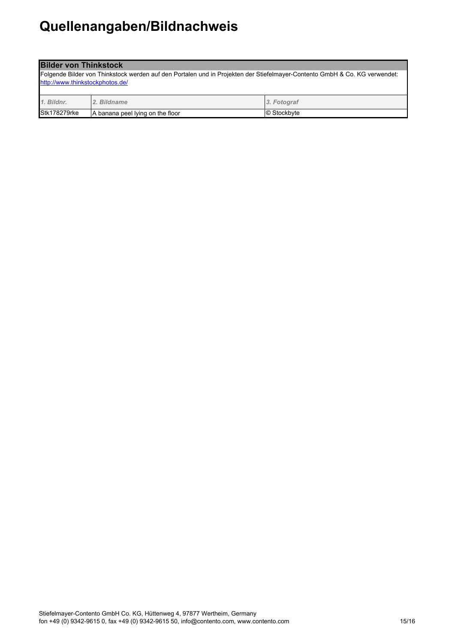| <b>Bilder von Thinkstock</b>                                                                                               |                                  |             |  |  |
|----------------------------------------------------------------------------------------------------------------------------|----------------------------------|-------------|--|--|
| Folgende Bilder von Thinkstock werden auf den Portalen und in Projekten der Stiefelmayer-Contento GmbH & Co. KG verwendet: |                                  |             |  |  |
| http://www.thinkstockphotos.de/                                                                                            |                                  |             |  |  |
| 1. Bildnr.<br>3. Fotograf<br>2. Bildname                                                                                   |                                  |             |  |  |
| <b>Stk178279rke</b>                                                                                                        | A banana peel lying on the floor | © Stockbyte |  |  |